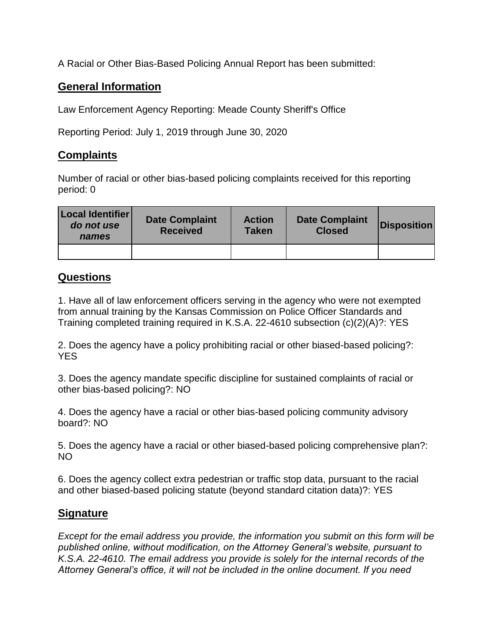A Racial or Other Bias-Based Policing Annual Report has been submitted:

## **General Information**

Law Enforcement Agency Reporting: Meade County Sheriff's Office

Reporting Period: July 1, 2019 through June 30, 2020

## **Complaints**

Number of racial or other bias-based policing complaints received for this reporting period: 0

| Local Identifier<br>do not use<br>names | <b>Date Complaint</b><br><b>Received</b> | <b>Action</b><br><b>Taken</b> | <b>Date Complaint</b><br><b>Closed</b> | <b>Disposition</b> |
|-----------------------------------------|------------------------------------------|-------------------------------|----------------------------------------|--------------------|
|                                         |                                          |                               |                                        |                    |

## **Questions**

1. Have all of law enforcement officers serving in the agency who were not exempted from annual training by the Kansas Commission on Police Officer Standards and Training completed training required in K.S.A. 22-4610 subsection (c)(2)(A)?: YES

2. Does the agency have a policy prohibiting racial or other biased-based policing?: YES

3. Does the agency mandate specific discipline for sustained complaints of racial or other bias-based policing?: NO

4. Does the agency have a racial or other bias-based policing community advisory board?: NO

5. Does the agency have a racial or other biased-based policing comprehensive plan?: NO

6. Does the agency collect extra pedestrian or traffic stop data, pursuant to the racial and other biased-based policing statute (beyond standard citation data)?: YES

## **Signature**

*Except for the email address you provide, the information you submit on this form will be published online, without modification, on the Attorney General's website, pursuant to K.S.A. 22-4610. The email address you provide is solely for the internal records of the Attorney General's office, it will not be included in the online document. If you need*